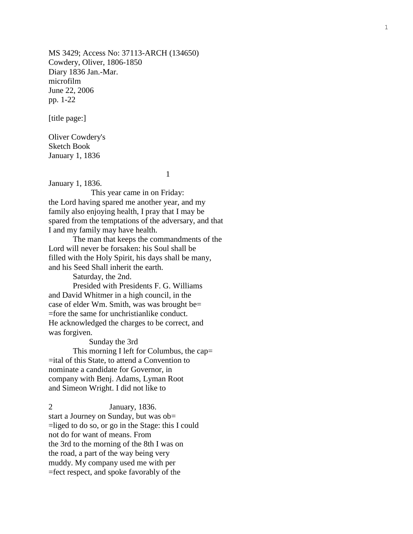MS 3429; Access No: 37113 -ARCH (134650) Cowdery, Oliver, 1806 -1850 Diary 1836 Jan. -Mar. microfilm June 22, 2006 pp. 1 -22

[title page:]

Oliver Cowdery's Sketch Book January 1, 1836

1

January 1, 1836.

 This year came in on Friday: the Lord having spared me another year, and my family also enjoying health, I pray that I may be spared from the temptations of the adversary, and that I and my family may have health.

The man that keeps the commandments of the Lord will never be forsaken: his Soul shall be filled with the Holy Spirit, his days shall be many, and his Seed Shall inherit the earth.

Saturday, the 2nd.

Presided with Presidents F. G. Williams and David Whitmer in a high council, in the case of elder Wm. Smith, was was brought be= =fore the same for unchristianlike conduct. He acknowledged the charges to be correct, and was forgiven.

Sunday the 3rd

This morning I left for Columbus, the cap= =ital of this State, to attend a Convention to nominate a candidate for Governor, in company with Benj. Adams, Lyman Root and Simeon Wright. I did not like to

2 January, 1836. start a Journey on Sunday, but was ob= =liged to do so, or go in the Stage: this I could not do for want of means. From the 3rd to the morning of the 8th I was on the road, a part of the way being very muddy. My company used me with per =fect respect, and spoke favorably of the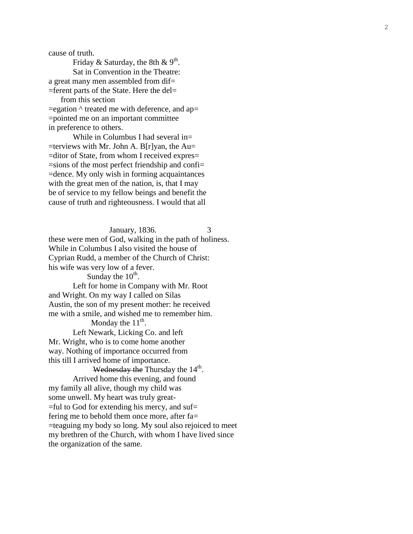cause of truth.

Friday & Saturday, the 8th & 9<sup>th</sup>. Sat in Convention in the Theatre: a great many men assembled from dif= =ferent parts of the State. Here the del= from this section  $=$ egation  $\wedge$  treated me with deference, and ap $=$ =pointed me on an important committee in preference to others.

While in Columbus I had several in=  $=$ terviews with Mr. John A. B[r]yan, the Au $=$ =ditor of State, from whom I received expres = =sions of the most perfect friendship and confi = =dence. My only wish in forming acquaintances with the great men of the nation, is, that I may be of service to my fellow beings and benefit the cause of truth and righteousness. I would that all

 January, 1836. 3 these were men of God, walking in the path of holiness. While in Columbus I also visited the house of Cyprian Rudd, a member of the Church of Christ: his wife was very low of a fever. Sunday the  $10^{th}$ .

Left for home in Company with Mr. Root and Wright. On my way I called on Silas Austin , the son of my present mother: he received me with a smile, and wished me to remember him.

Monday the  $11<sup>th</sup>$ .

Left Newark, Licking Co. and left Mr. Wright, who is to come home another way. Nothing of importance occurred from this till I arrived home of importance.

Wednesday the Thursday the 14<sup>th</sup>. Arrived home this evening, and found my family all alive, though my child was some unwell. My heart was truly great -  $=$ ful to God for extending his mercy, and suf $=$ fering me to behold them once more, after fa= =teaguing my body so long. My soul also rejoiced to meet my brethren of the Church, with whom I have lived since the organization of the same.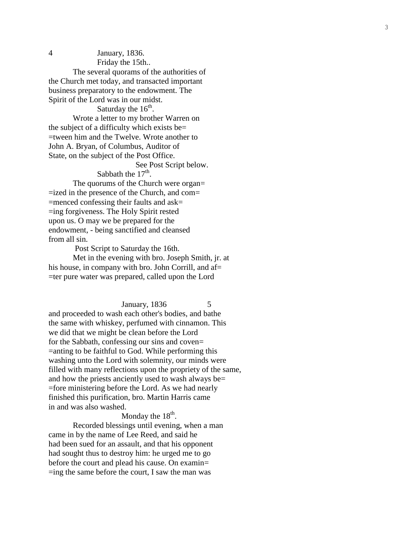4 January, 1836.

Friday the 15th. .

The several q uorams of the authorities of the Church met today, and transacted important business preparatory to the endowment. The Spirit of the Lord was in our midst.

Saturday the  $16^{th}$ .

Wrote a letter to my brother Warren on the subject of a difficulty which exists be = =tween him and the Twelve. Wrote another to John A. Bryan, of Columbus, Auditor of State, on the subject of the Post Office.

 See Post Script below. Sabbath the  $17<sup>th</sup>$ .

The quorums of the Church were organ= =ized in the presence of the Church, and com = =menced confessing their faults and ask = =ing forgiveness. The Holy Spirit rested upon us. O may we be prepared for the endowment, - being sanctified and cleansed from all sin.

Post Script to Saturday the 16th.

Met in the evening with bro. Joseph Smith, jr. at his house, in company with bro. John Corrill, and af= =ter pure water was prepared, called upon the Lord

January, 1836 5 and proceeded to wash each other's bodies, and bathe the same with whiskey, perfumed with cinnamon. This we did that we might be clean before the Lord for the Sabbath, confessing our sins and coven= =anting to be faithful to God. While performing this washing unto the Lord with solemnity, our minds were filled with many reflections upon the propriety of the same, and how the priests anciently used to wash always be = =fore ministering before the Lord. As we had nearly finished this purification, bro. Martin Harris came in and was also washed.

Monday the  $18<sup>th</sup>$ .

Recorded blessings until evening, when a man came in by the name of Lee Reed, and said he had been sued for an assault, and that his opponent had sought thus to destr oy him: he urged me to go before the court and plead his cause. On examin= = ing the same before the court, I saw the man was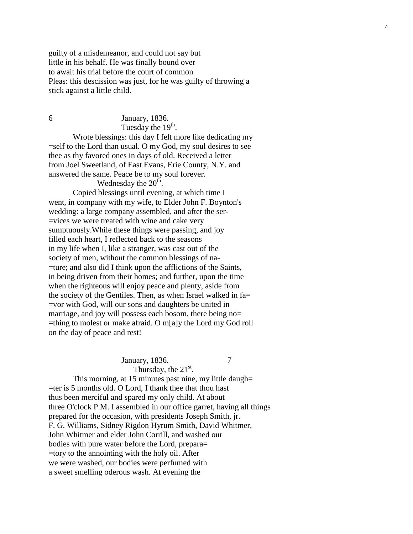guilty of a misdemeanor, and could not say but little in his behalf. He was finally bound over to await his trial before the court of common Pleas: this descission was just, for he was guilty of throwing a stick against a little child.

6 January, 1836. Tuesday the  $19<sup>th</sup>$ .

Wrote blessings: this day I felt more like dedicating my =self to the Lord than usual. O my God, my soul desires to see thee as thy favored ones in days of old. Received a letter from Joel Sweetland, of East Evans, Erie County, N.Y. and answered the same. Peace be to my soul forever.

Wednesday the  $20<sup>th</sup>$ .

Copied blessings until evening, at which time I went, in company with my wife, to Elder John F. Boynton's wedding: a large company assembled, and after the ser - =vices we were treated with wine and cake very sumptuously.While these things were passing, and joy filled each heart, I reflected back to the seasons in my life when I, like a stranger, was cast out of the society of men, without the common blessings of na- =ture; and also did I think upon the afflictions of the Saints, in being driven from their homes; and further, upon the time when the righteous will enjoy peace and plenty, aside from the society of the Gentiles. Then, as when Israel walked in fa= =vor with God, will our sons and daughters be united in marriage, and joy will possess each bosom, there being no= =thing to molest or make afraid. O m[a]y the Lord my God roll on the day of peace and rest!

## January, 1836.

7

Thursday, the  $21<sup>st</sup>$ . This morning, at 15 minutes past nine, my little daugh= =ter is 5 months old. O Lord, I thank thee that thou hast thus been merciful and spared my only child. At about three O'clock P.M. I assembled in our office garret, having all things prepared for the occasion, with presidents Joseph Smith, jr. F. G. Williams, Sidney Rigdon Hyrum Smith, David Whitmer, John Whitmer and elder John Corrill, and washed our bodies with pure water before the Lord, prepara= =tory to the annointing with the holy oil. After we were washed, our bodies were perfumed with

a sweet smelling oderous wash. At evening the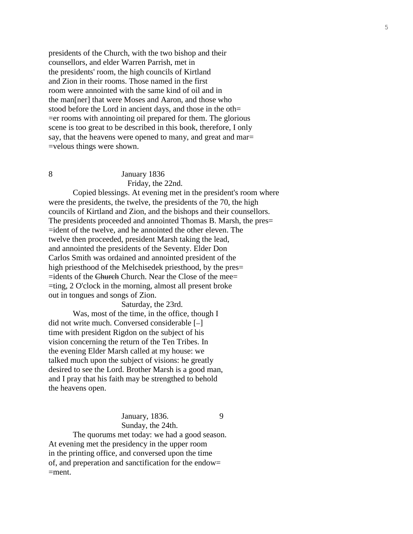presidents of the Church, with the two bishop and their counsellors, and elder Warren Parrish, met in the presidents' room, the high councils of Kirtland and Zion in their rooms. Those named in the first room were annointed with the same kind of oil and in the man[ner] that were Moses and Aaron, and those who stood before the Lord in ancient days, and those in the oth=

=er rooms with annointing oil prepared for them. The glorious scene is too great to be described in this book, therefore, I only say, that the heavens were opened to many, and great and mar= =velous things were shown.

## 8 January 1836 Friday, the 22nd.

Copied blessings. At evening met in the president's room where were the presidents, the twelve, the presidents of the 70, the high councils of Kirtland and Zion, and the bishops and their counsellors. The presidents proceeded and annointed Thomas B. Marsh, the pres= =ident of the twelve, and he annointed the other eleven. The twelve then proceeded, president Marsh taking the lead, and annointed the presidents of the Seventy. Elder Don Carlos Smith was ordained and annointed president of the high priesthood of the Melchisedek priesthood, by the pres= =idents of the Church Church. Near the Close of the mee= =ting, 2 O'clock in the morning, almost all present broke out in tongues and songs of Zion.

Saturday, the 23rd. Was, most of the time, in the office, though I did not write much. Conversed considerable  $[-]$ time with president Rigdon on the subject of his vision concerning the return of the Ten Tribes. In the evening Elder Marsh called at my house: we talked much upon the subject of visions: he greatly desired to see the Lord. Brother Marsh is a good man, and I pray that his faith may be strengthed to behold the heavens open.

> January, 1836. 9 Sunday, the 24th.

The quorums met today: we had a good season. At evening met the presidency in the upper room in the printing office, and conversed upon the time of, and preperation and sanctification for the endow=  $=$ ment.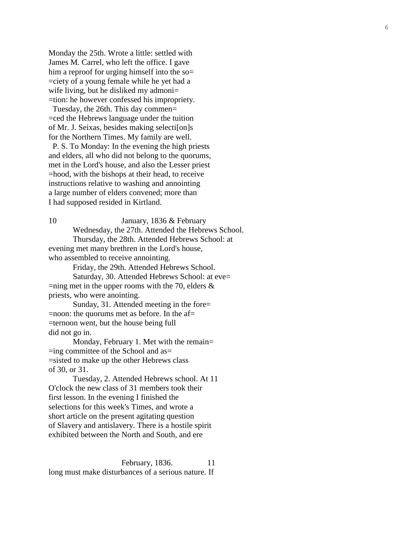Monday the 25th. Wrote a little: settled with James M. Carrel, who left the office. I gave him a reproof for urging himself into the so= =ciety of a young female while he yet had a wife living, but he disliked my admoni= =tion: he however confessed his impropriety.

 Tuesday, the 26th. This day commen = =ced the Hebrews language under the tuition of Mr. J. Seixas , besides making selecti [on ]s for the Northern Times. My family are well.

 P. S. To Monday: In the evening the high priests and elders, all who did not belong to the quorums, met in the Lord's house, and also the Lesser priest =hood, with the bishops at their head, to receive instructions relative to washing and annointing a large number of elders convened; more than I had supposed resided in Kirtland.

10 January, 1836 & February Wednesday, the 27th. Attended the Hebrews School. Thursday, the 28th. Attended Hebrews School: at evening met many brethren in the Lord's house, who assembled to receive annointing.

Friday, the 29th. Attended Hebrews School.

Saturday, 30. Attended Hebrews School: at eve=  $=$ ning met in the upper rooms with the 70, elders  $\&$ priests, who were anointing.

Sunday, 31. Attended meeting in the fore= =noon: the quorums met as before. In the af= =ternoon went, but the house being full did not go in.

Monday, February 1. Met with the remain= =ing committee of the School and as = =sisted to make up the other Hebrews class of 30, or 31.

Tuesday, 2. Attended Hebrews school. At 11 O'clock the new class of 31 members took their first lesson. In the evening I finished the selections for this week's Times, and wrote a short article on the present agitating question of Slavery and antislavery. There is a hostile spirit exhibited between the North and South, and ere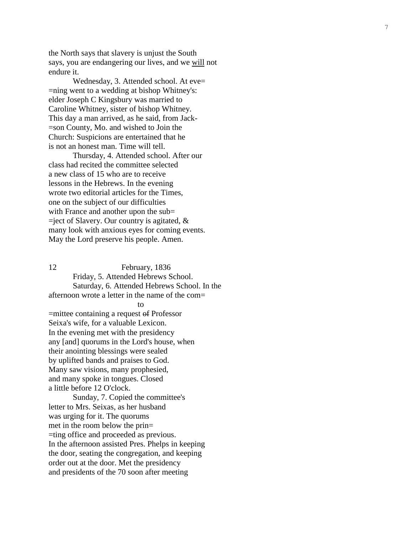the North says that slavery is unjust the South says, you are endangering our lives, and we will not endure it.

Wednesday, 3. Attended school. At eve= =ning went to a wedding at bishop Whitney's: elder Joseph C Kingsbury was married to Caroline Whitney, sister of bishop Whitney. This day a man arrived, as he said, from Jack - =son County, Mo. and wished to Join the Church: Suspicions are entertained that he is not an honest man. Time will tell.

Thursday, 4. Attended school. After our class had recited the committee selected a new class of 15 who are to receive lessons in the Hebrews. In the evening wrote two editorial articles for the Times, one on the subject of our difficulties with France and another upon the sub=  $=$ ject of Slavery. Our country is agitated,  $\&$ many look with anxious eyes for coming events. May the Lord preserve his people. Amen.

12 February, 1836 Friday, 5. Attended Hebrews School. Saturday, 6. Attended Hebrews School. In the afternoon wrote a letter in the name of the com = to the contract of the contract of the contract of the contract of the contract of the contract of the contract of the contract of the contract of the contract of the contract of the contract of the contract of the contrac =mittee containing a request of Professor Seixa's wife, for a valuable Lexicon.

In the evening met with the presidency any [and] quorums in the Lord's house, when their anointing blessings were sealed by uplifted bands and praises to God. Many saw visions, many prophesied, and many spoke in tongues. Closed a little before 12 O'clock.

Sunday, 7. Copied the committee's letter to Mrs. Seixas, as her husband was urging for it. The quorums met in the room below the prin = =ting office and proceeded as previous. In the afternoon assisted Pres. Phelps in keeping the door, seating the congregation, and keeping order out at the door. Met the presidency and presidents of the 70 soon after meeting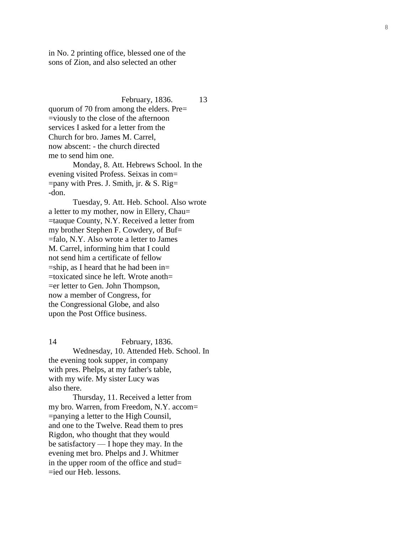in No. 2 printing office, blessed one of the sons of Zion, and also selected an other

February, 1836. 13 quorum of 70 from among the elders. Pre = =viously to the close of the afternoon services I asked for a letter from the Church for bro. James M. Carrel, now abscent: - the church directed me to send him one.

Monday, 8. Att. Hebrews School. In the evening visited Profess. Seixas in com= =pany with Pres. J. Smith, jr. & S. Rig = -don.

Tuesday, 9. Att. Heb. School. Also wrote a letter to my mother, now in Ellery, Chau = =tauque County, N.Y. Received a letter from my brother Stephen F. Cowdery, of Buf= =falo, N.Y. Also wrote a letter to James M. Carrel, informing him that I could not send him a certificate of fellow =ship, as I heard that he had been in = =toxicated since he left. Wrote anoth = =er letter to Gen. John Thompson, now a member of Congress, for the Congressional Globe, and also upon the Post Office business.

14 February, 1836. Wednesday, 10. Attended Heb . School. In the evening took supper, in company with pres. Phelps, at my father's table, with my wife. My sister Lucy was also there.

Thursday, 11. Received a letter from my bro. Warren, from Freedom, N.Y. accom = =panying a letter to the High Counsil, and one to the Twelve. Read them to pres Rigdon, who thought that they would be satisfactory — I hope they may. In the evening met bro. Phelps and J. Whitmer in the upper room of the office and stud= =ied our Heb. lessons.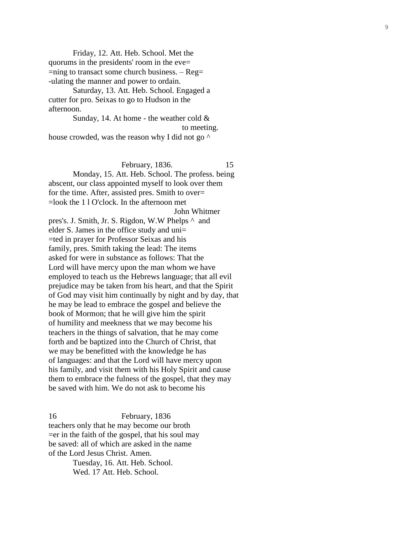Friday, 12. Att. Heb . School. Met the quorums in the presidents' room in the eve = =ning to transact some church business. – Reg= -ulating the manner and power to ordain.

Saturday, 13. Att. Heb. School. Engaged a cutter for pro. Seixas to go to Hudson in the afternoon.

Sunday, 14. At home - the weather cold  $\&$  to meeting. house crowded, was the reason why I did not go  $\wedge$ 

February, 1836. 15

Monday, 15. Att. Heb . School. The profess. being abscent, our class appointed myself to look over them for the time. After, assisted pres. Smith to over = =look the 1 l O'clock. In the afternoon met John Whitmer

pres's. J. Smith, Jr. S. Rigdon, W.W Phelps ^ and elder S. James in the office study and uni= =ted in prayer for Professor Seixas and his family, pres. Smith taking the lead: The items asked for were in substance as follows: That the Lord will have mercy upon the man whom we have employed to teach us the Hebrews language; that all evil prejudice may be taken from his heart, and that the Spirit of God may visit him continually by night and by day, that he may be lead to embrace the gospel and believe the book of Mormon; that he will give him the spirit of humility and meekness that we may become his teachers in the things of salvation, that he may come forth and be baptized into the Church of Christ, that we may be benefitted with the knowledge he has of languages: and that the Lord will have mercy upon his family, and visit them with his Holy Spirit and cause them to embrace the fulness of the gospel, that they may be saved with him. We do not ask to become his

16 February, 1836 teachers only that he may become our broth  $=$ er in the faith of the gospel, that his soul may be saved: all of which are asked in the name of the Lord Jesus Christ. Amen.

Tuesday, 16. Att. Heb . School. Wed. 17 Att. Heb . School.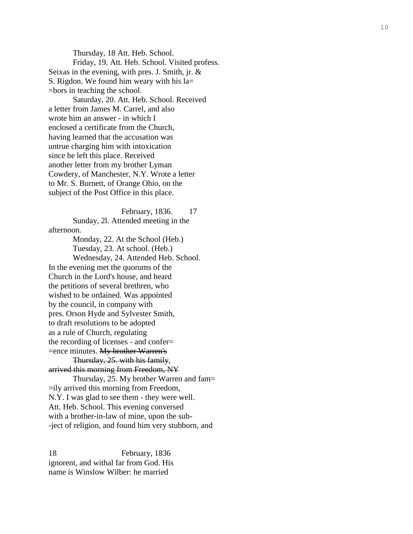Thursday, 18 Att. Heb. School. Friday, 19. Att. Heb . School. Visited profess. Seixas in the evening, with pres. J. Smith, jr. & S. Rigdon. We found him weary with his la= =bors in teaching the school.

Saturday, 20. Att. Heb . School. Received a letter from James M. Carrel, and also wrote him an answer - in which I enclosed a certificate from the Church, having learned that the accusation was untrue charging him with intoxication since he left this place. Received another letter from my brother Lyman Cowdery, of Manchester, N.Y. Wrote a letter to Mr. S. Burnett, of Orange Ohio, on the subject of the Post Office in this place.

February, 1836. 17 Sunday, 2l. Attended meeting in the afternoon.

Monday, 22. At the School (Heb.) Tuesday, 23. At school. (Heb.) Wednesday, 24. Attended Heb. School. In the evening met the quorums of the Church in the Lord's house, and heard the petitions of several brethren, who wished to be ordained. Was appointed by the council, in company with pres. Orson Hyde and Sylvester Smith, to draft resolutions to be adopted as a rule of Church, regulating the recording of licenses - and confer = =ence minutes. My brother Warren's Thursday, 25. with his family , arrived this morning from Freedom, NY Thursday, 25. My brother Warren and fam = =ily arrived this morning from Freedom, N.Y. I was glad to see them - they were well.

Att. Heb . School. This evening conversed with a brother-in-law of mine, upon the sub--ject of religion, and found him very stubborn, and

18 February, 1836 ignorent, and withal far from God. His name is Winslow Wilber: he married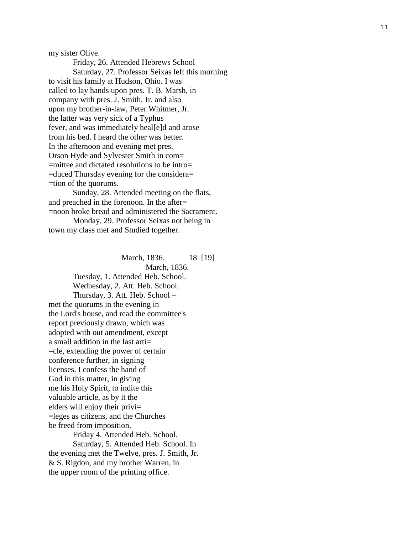my sister Olive.

Friday, 26. Attended Hebrews School Saturday, 27. Professor Seixas left this morning to visit his family at Hudson, Ohio. I was called to lay hands upon pres. T. B. Marsh, in company with pres. J. Smith, Jr. and also upon my brother -in -law, Peter Whitmer, Jr. the latter was very sick of a Typhus fever, and was immediately heal[e]d and arose from his bed. I heard the other was better. In the afternoon and evening met pres. Orson Hyde and Sylvester Smith in com = =mittee and dictated resolutions to be intro = =duced Thursday evening for the considera = =tion of the quorums.

Sunday, 28. Attended meeting on the flats, and preached in the forenoon. In the after = =noon broke bread and administered the Sacrament.

Monday, 29. Professor Seixas not being in town my class met and Studied together.

March, 1836. 9 ] March, 1836. Tuesday, 1. Attended Heb . School. Wednesday, 2. Att. Heb . School. Thursday, 3. Att. Heb. School – met the quorums in the evening in the Lord's house, and read the committee's report previously drawn, which was adopted with out amendment, except

a small addition in the last arti= =cle, extending the power of certain conference further, in signing licenses. I confess the hand of God in this matter, in giving me his Holy Spirit, to indite this valuable article, as by it the elders will enjoy their privi= =leges as citizens, and the Churches be freed from imposition.

Friday 4. Attended Heb. School.

Saturday, 5. Attended Heb. School. In the evening met the Twelve, pres. J. Smith, Jr. & S. Rigdon, and my brother Warren, in the upper room of the printing office.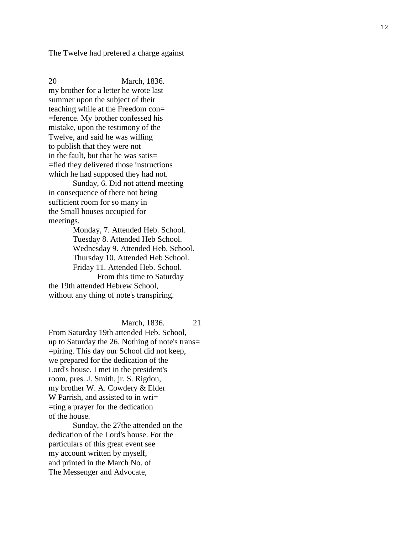The Twelve had prefered a charge against

20 March, 1836. my brother for a letter he wrote last summer upon the subject of their teaching while at the Freedom con= =ference. My brother confessed his mistake, upon the testimony of the Twelve, and said he was willing to publish that they were not in the fault, but that he was satis= =fied they delivered those instructions which he had supposed they had not.

Sunday, 6. Did not attend meeting in consequence of there not being sufficient room for so many in the Small houses occupied for meetings.

Monday, 7. Attended Heb . School . Tuesday 8. Attended Heb School. Wednesday 9. Attended Heb. School. Thursday 10. Attended Heb School. Friday 11. Attended Heb . School. From this time to Saturday

the 19th attended Hebrew School, without any thing of note's transpiring.

March, 1836. 21

From Saturday 19th attended Heb . School, up to Saturday the 26. Nothing of note's trans = =piring. This day our School did not keep, we prepared for the dedication of the Lord's house. I met in the president's room, pres. J. Smith, jr. S. Rigdon, my brother W. A. Cowdery  $&$  Elder W Parrish, and assisted to in wri= =ting a prayer for the dedication of the house.

Sunday, the 27th e attended on the dedication of the Lord's house. For the particulars of this great event see my account written by myself, and printed in the March No. of The Messenger and Advocate,